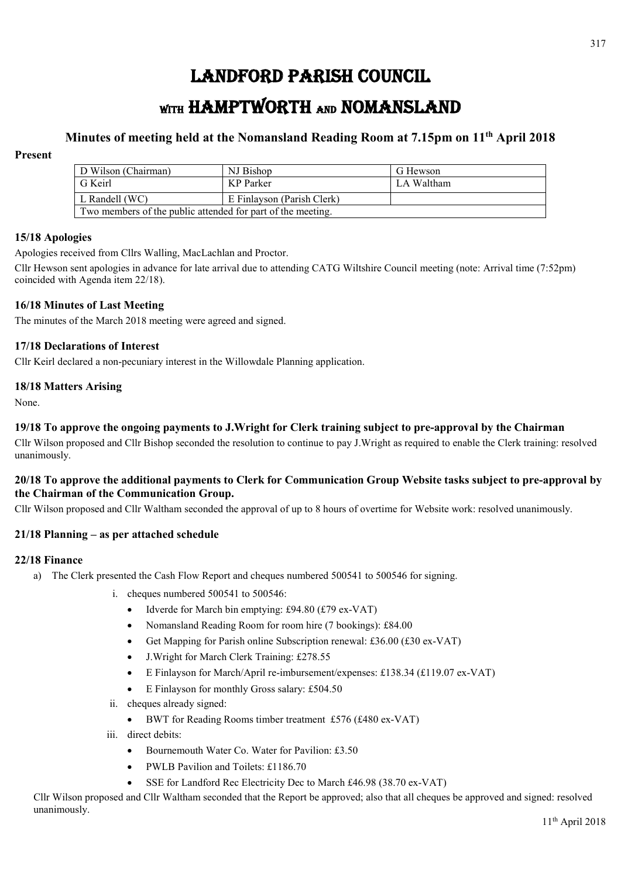# LANDFORD PARISH COUNCIL

# WITH HAMPTWORTH AND NOMANSLAND

# **Minutes of meeting held at the Nomansland Reading Room at 7.15pm on 11th April 2018**

# **Present**

| D Wilson (Chairman)                                         | NJ Bishop                  | G Hewson   |
|-------------------------------------------------------------|----------------------------|------------|
| G Keirl                                                     | KP Parker                  | LA Waltham |
| L Randell (WC)                                              | E Finlayson (Parish Clerk) |            |
| Two members of the public attended for part of the meeting. |                            |            |

# **15/18 Apologies**

Apologies received from Cllrs Walling, MacLachlan and Proctor.

Cllr Hewson sent apologies in advance for late arrival due to attending CATG Wiltshire Council meeting (note: Arrival time (7:52pm) coincided with Agenda item 22/18).

#### **16/18 Minutes of Last Meeting**

The minutes of the March 2018 meeting were agreed and signed.

#### **17/18 Declarations of Interest**

Cllr Keirl declared a non-pecuniary interest in the Willowdale Planning application.

#### **18/18 Matters Arising**

None.

# **19/18 To approve the ongoing payments to J.Wright for Clerk training subject to pre-approval by the Chairman**

Cllr Wilson proposed and Cllr Bishop seconded the resolution to continue to pay J.Wright as required to enable the Clerk training: resolved unanimously.

# **20/18 To approve the additional payments to Clerk for Communication Group Website tasks subject to pre-approval by the Chairman of the Communication Group.**

Cllr Wilson proposed and Cllr Waltham seconded the approval of up to 8 hours of overtime for Website work: resolved unanimously.

# **21/18 Planning – as per attached schedule**

#### **22/18 Finance**

- a) The Clerk presented the Cash Flow Report and cheques numbered 500541 to 500546 for signing.
	- i. cheques numbered 500541 to 500546:
		- Idverde for March bin emptying: £94.80 (£79 ex-VAT)
		- Nomansland Reading Room for room hire (7 bookings): £84.00
		- Get Mapping for Parish online Subscription renewal: £36.00 (£30 ex-VAT)
		- J.Wright for March Clerk Training: £278.55
		- E Finlayson for March/April re-imbursement/expenses: £138.34 (£119.07 ex-VAT)
		- E Finlayson for monthly Gross salary: £504.50
	- ii. cheques already signed:
		- BWT for Reading Rooms timber treatment £576 (£480 ex-VAT)
	- iii. direct debits:
		- Bournemouth Water Co. Water for Pavilion: £3.50
		- PWLB Pavilion and Toilets: £1186.70
		- SSE for Landford Rec Electricity Dec to March £46.98 (38.70 ex-VAT)

Cllr Wilson proposed and Cllr Waltham seconded that the Report be approved; also that all cheques be approved and signed: resolved unanimously.